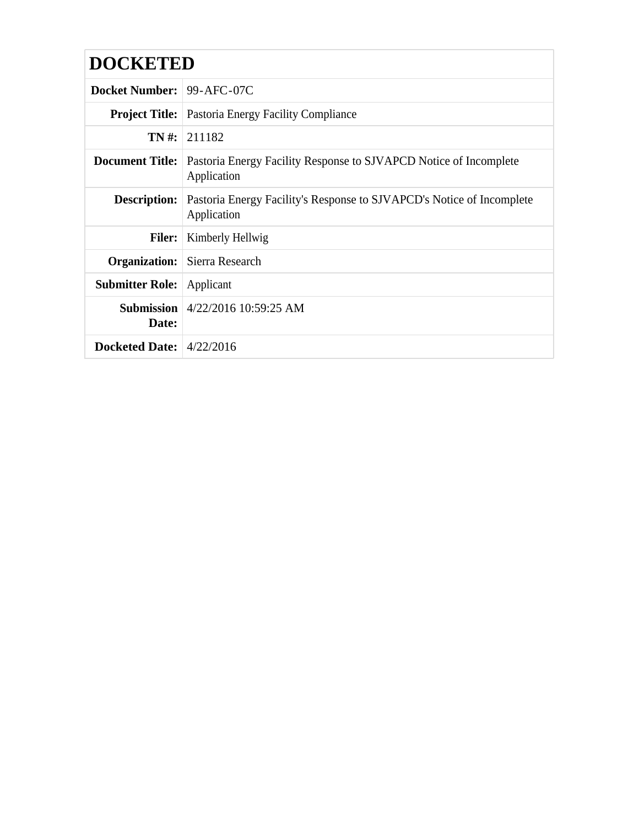| <b>Docket Number: 99-AFC-07C</b> |                                                                                      |  |  |
|----------------------------------|--------------------------------------------------------------------------------------|--|--|
|                                  | <b>Project Title:</b> Pastoria Energy Facility Compliance                            |  |  |
|                                  | $TN \#$ : 211182                                                                     |  |  |
| <b>Document Title:</b>           | Pastoria Energy Facility Response to SJVAPCD Notice of Incomplete<br>Application     |  |  |
| <b>Description:</b>              | Pastoria Energy Facility's Response to SJVAPCD's Notice of Incomplete<br>Application |  |  |
| <b>Filer:</b>                    | Kimberly Hellwig                                                                     |  |  |
|                                  | <b>Organization:</b> Sierra Research                                                 |  |  |
| <b>Submitter Role:</b> Applicant |                                                                                      |  |  |
| Date:                            | <b>Submission</b>   4/22/2016 10:59:25 AM                                            |  |  |
| Docketed Date: $4/22/2016$       |                                                                                      |  |  |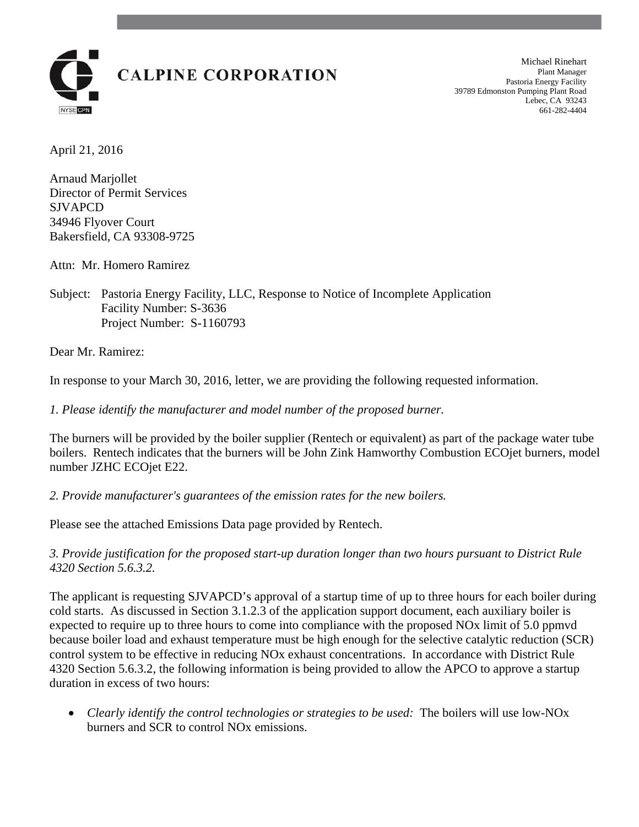

Michael Rinehart Plant Manager Pastoria Energy Facility 39789 Edmonston Pumping Plant Road Lebec, CA 93243 661-282-4404

April 21, 2016

Arnaud Marjollet Director of Permit Services SJVAPCD 34946 Flyover Court Bakersfield, CA 93308-9725

Attn: Mr. Homero Ramirez

Subject: Pastoria Energy Facility, LLC, Response to Notice of Incomplete Application Facility Number: S-3636 Project Number: S-1160793

Dear Mr. Ramirez:

In response to your March 30, 2016, letter, we are providing the following requested information.

*1. Please identify the manufacturer and model number of the proposed burner.* 

The burners will be provided by the boiler supplier (Rentech or equivalent) as part of the package water tube boilers. Rentech indicates that the burners will be John Zink Hamworthy Combustion ECOjet burners, model number JZHC ECOjet E22.

*2. Provide manufacturer's guarantees of the emission rates for the new boilers.* 

Please see the attached Emissions Data page provided by Rentech.

*3. Provide justification for the proposed start-up duration longer than two hours pursuant to District Rule 4320 Section 5.6.3.2.* 

The applicant is requesting SJVAPCD's approval of a startup time of up to three hours for each boiler during cold starts. As discussed in Section 3.1.2.3 of the application support document, each auxiliary boiler is expected to require up to three hours to come into compliance with the proposed NOx limit of 5.0 ppmvd because boiler load and exhaust temperature must be high enough for the selective catalytic reduction (SCR) control system to be effective in reducing NOx exhaust concentrations. In accordance with District Rule 4320 Section 5.6.3.2, the following information is being provided to allow the APCO to approve a startup duration in excess of two hours:

 *Clearly identify the control technologies or strategies to be used:* The boilers will use low-NOx burners and SCR to control NOx emissions.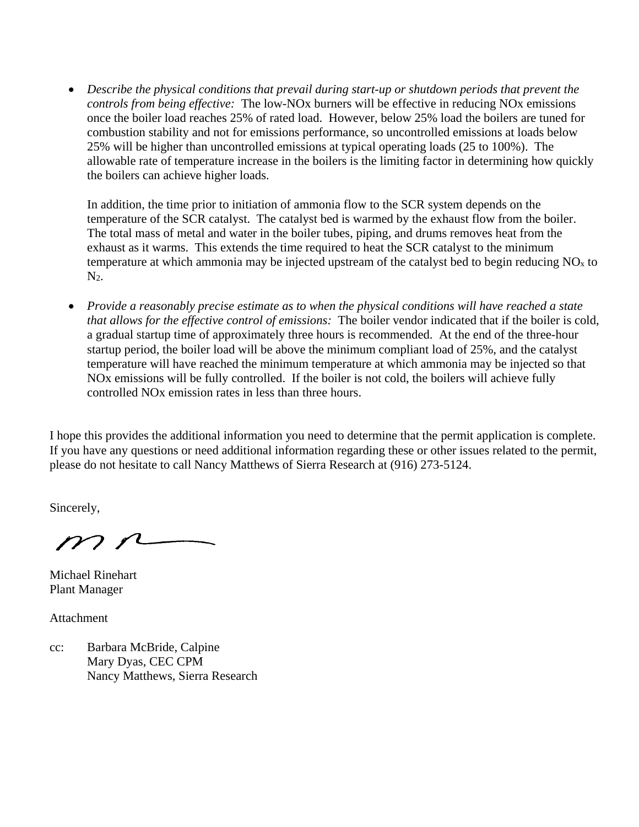*Describe the physical conditions that prevail during start-up or shutdown periods that prevent the controls from being effective:* The low-NOx burners will be effective in reducing NOx emissions once the boiler load reaches 25% of rated load. However, below 25% load the boilers are tuned for combustion stability and not for emissions performance, so uncontrolled emissions at loads below 25% will be higher than uncontrolled emissions at typical operating loads (25 to 100%). The allowable rate of temperature increase in the boilers is the limiting factor in determining how quickly the boilers can achieve higher loads.

In addition, the time prior to initiation of ammonia flow to the SCR system depends on the temperature of the SCR catalyst. The catalyst bed is warmed by the exhaust flow from the boiler. The total mass of metal and water in the boiler tubes, piping, and drums removes heat from the exhaust as it warms. This extends the time required to heat the SCR catalyst to the minimum temperature at which ammonia may be injected upstream of the catalyst bed to begin reducing  $NO<sub>x</sub>$  to  $N<sub>2</sub>$ .

 *Provide a reasonably precise estimate as to when the physical conditions will have reached a state that allows for the effective control of emissions:* The boiler vendor indicated that if the boiler is cold, a gradual startup time of approximately three hours is recommended. At the end of the three-hour startup period, the boiler load will be above the minimum compliant load of 25%, and the catalyst temperature will have reached the minimum temperature at which ammonia may be injected so that NOx emissions will be fully controlled. If the boiler is not cold, the boilers will achieve fully controlled NOx emission rates in less than three hours.

I hope this provides the additional information you need to determine that the permit application is complete. If you have any questions or need additional information regarding these or other issues related to the permit, please do not hesitate to call Nancy Matthews of Sierra Research at (916) 273-5124.

Sincerely,

 $m<sub>n</sub>$ 

Michael Rinehart Plant Manager

Attachment

cc: Barbara McBride, Calpine Mary Dyas, CEC CPM Nancy Matthews, Sierra Research